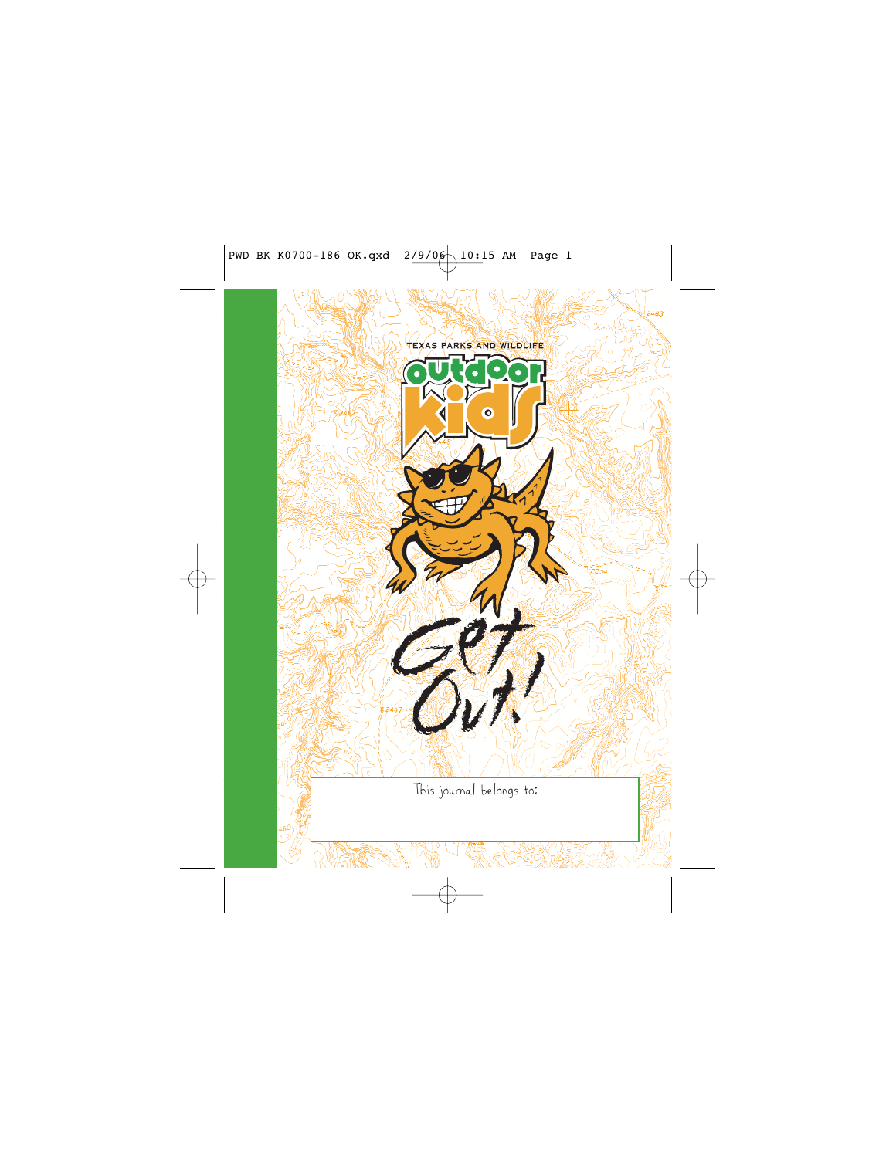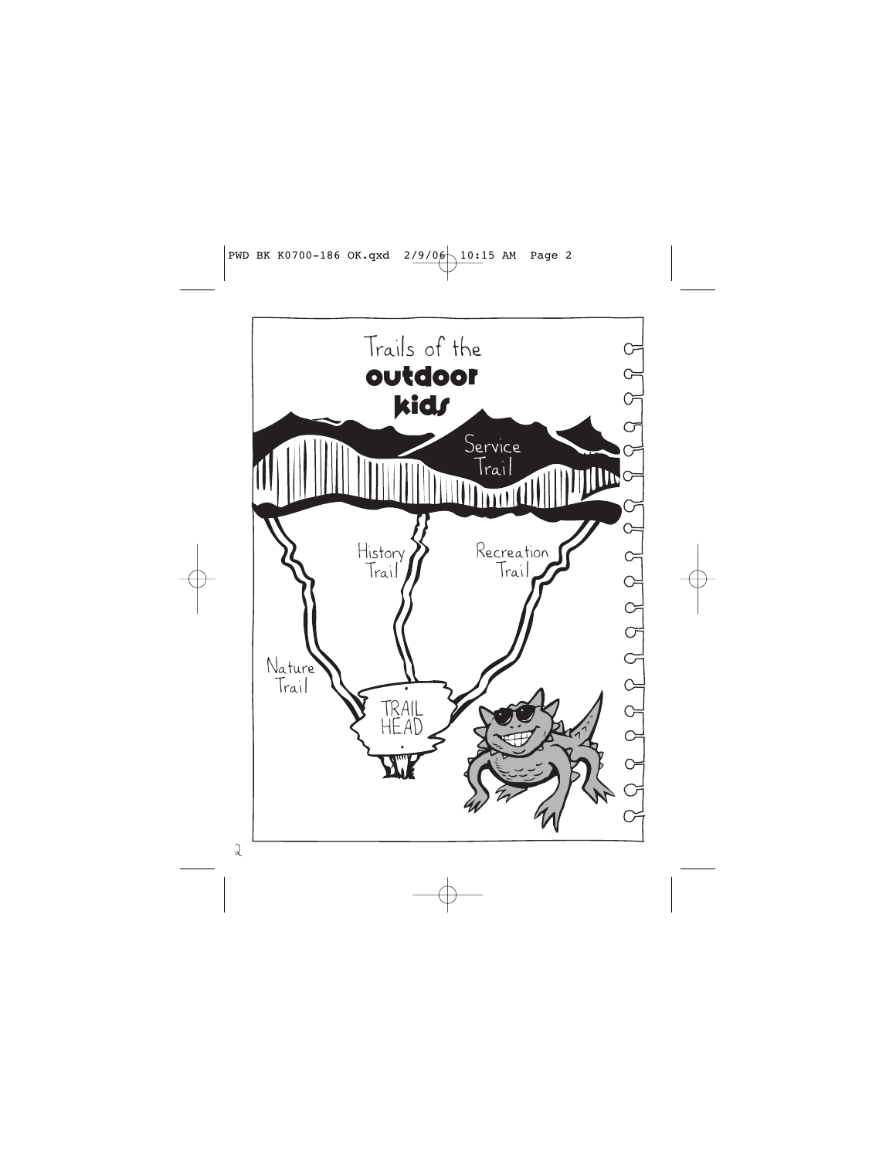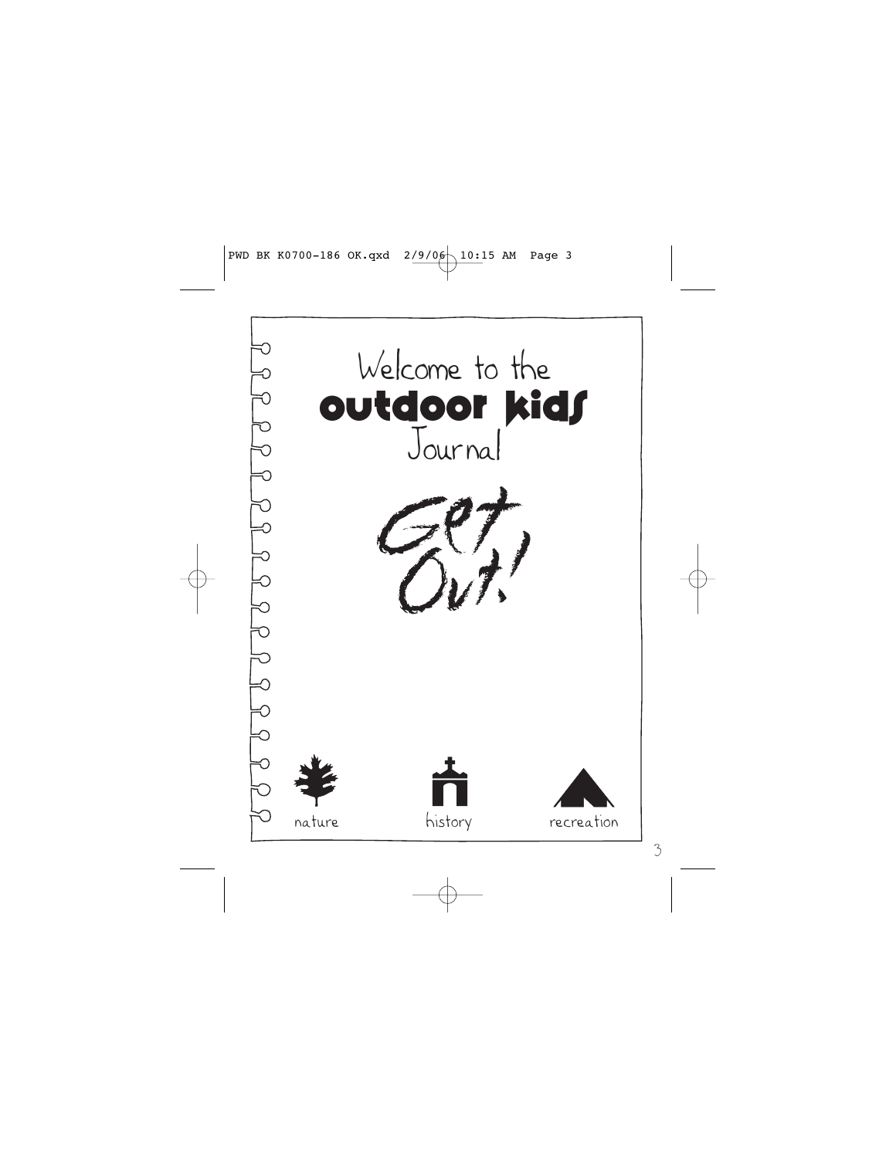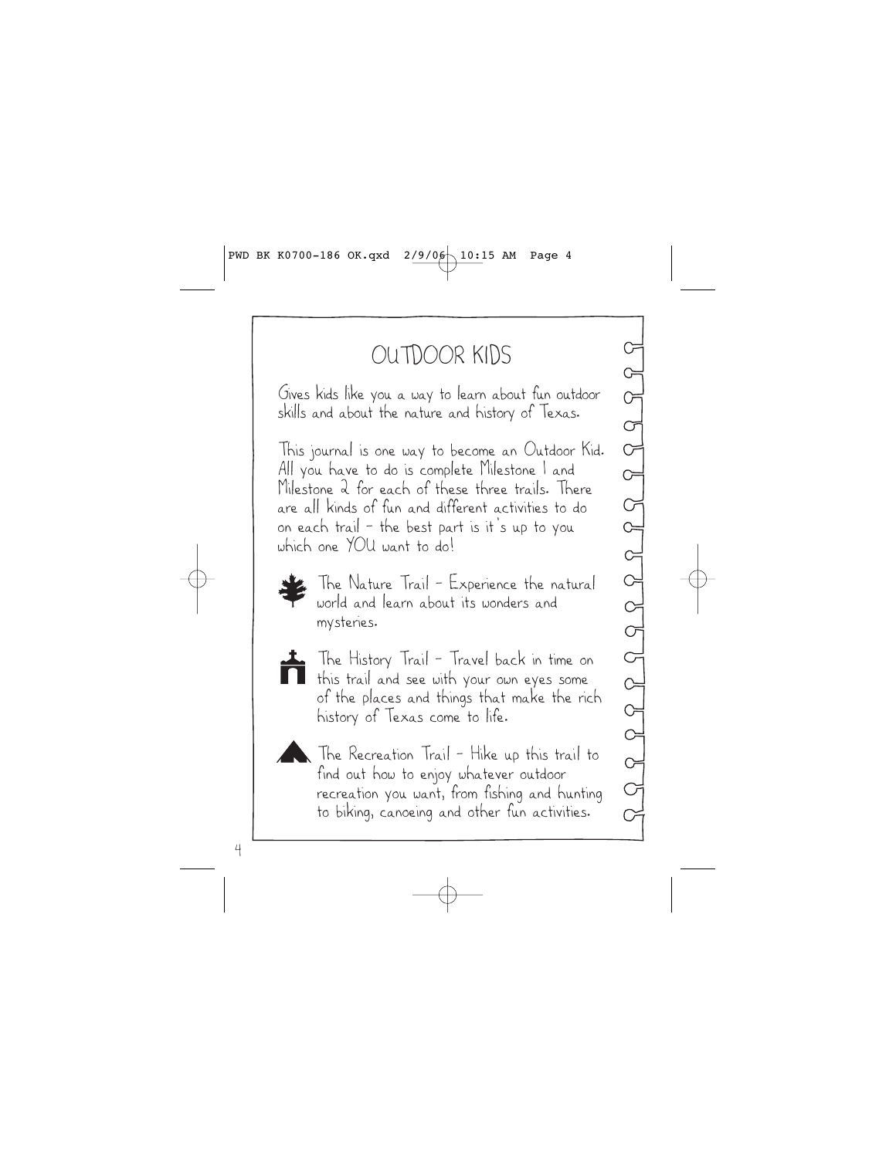### OUTDOOR KIDS

Gives kids like you a way to learn about fun outdoor skills and about the nature and history of Texas.

This journal is one way to become an Outdoor Kid. All you have to do is complete Milestone 1 and Milestone 2 for each of these three trails. There are all kinds of fun and different activities to do on each trail — the best part is it's up to you which one YOU want to do!



The Nature Trail – Experience the natural world and learn about its wonders and mysteries.



The History Trail – Travel back in time on this trail and see with your own eyes some of the places and things that make the rich history of Texas come to life.



The Recreation Trail - Hike up this trail to find out how to enjoy whatever outdoor recreation you want, from fishing and hunting to biking, canoeing and other fun activities.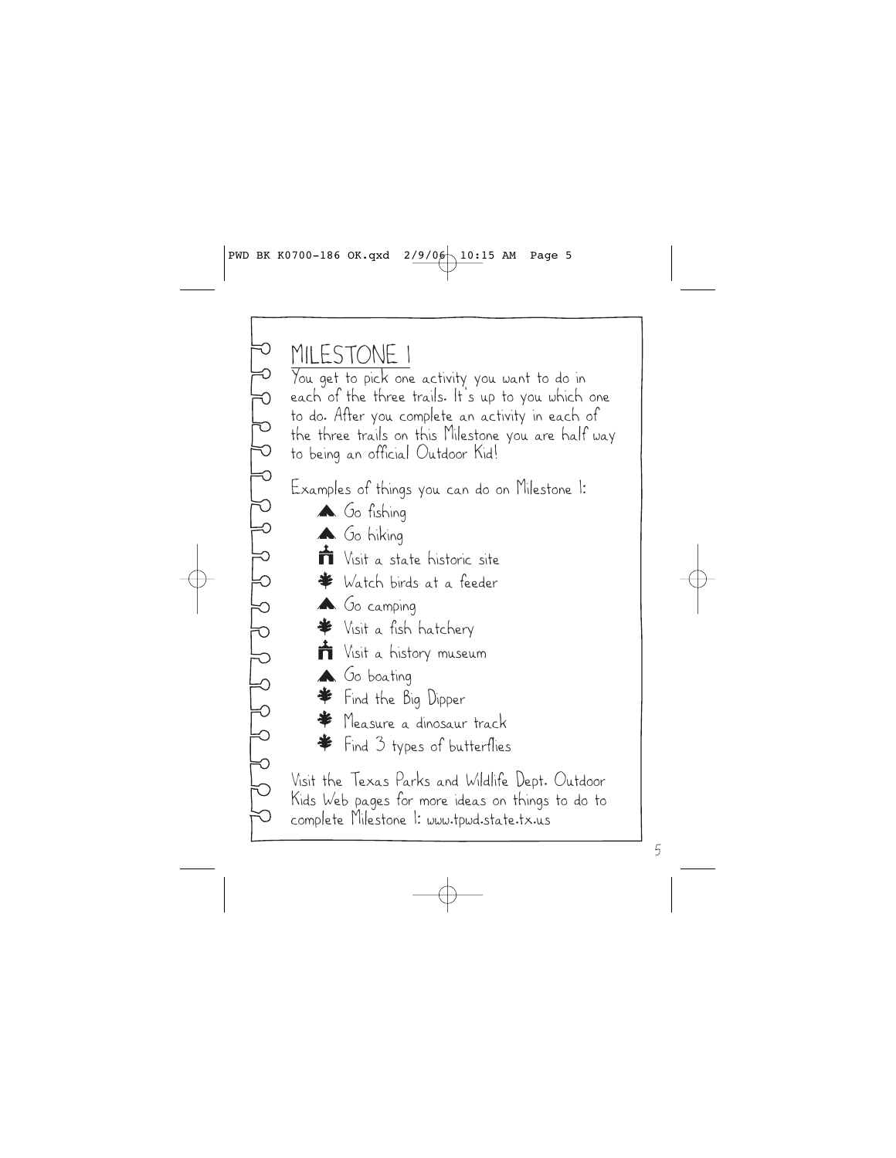MILESTONE 1 You get to pick one activity you want to do in each of the three trails. It's up to you which one to do. After you complete an activity in each of the three trails on this Milestone you are half way to being an official Outdoor Kid! Examples of things you can do on Milestone 1: A Go fishing A Go hiking Visit a state historic site Watch birds at a feeder A Go camping Visit a fish hatchery Visit a history museum **A** Go boating Find the Big Dipper Measure a dinosaur track Find 3 types of butterflies

Visit the Texas Parks and Wildlife Dept. Outdoor Kids Web pages for more ideas on things to do to complete Milestone 1: www.tpwd.state.tx.us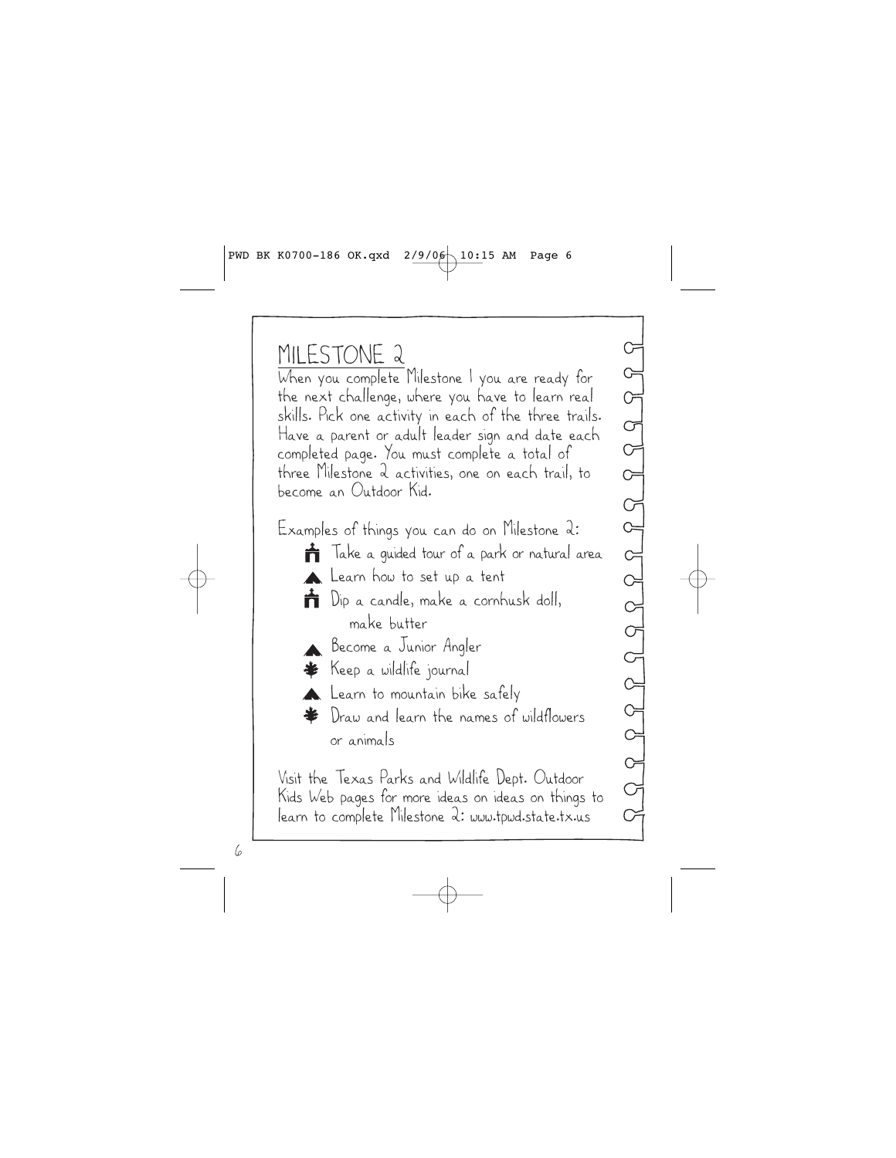MILESTONE 2 When you complete Milestone 1 you are ready for the next challenge, where you have to learn real skills. Pick one activity in each of the three trails. Have a parent or adult leader sign and date each completed page. You must complete a total of three Milestone 2 activities, one on each trail, to become an Outdoor Kid.

Examples of things you can do on Milestone 2: **T**ake a guided tour of a park or natural area **Learn** how to set up a tent **T** Dip a candle, make a cornhusk doll, make butter Become a Junior Angler Keep a wildlife journal

**Learn** to mountain bike safely

Draw and learn the names of wildflowers or animals

Visit the Texas Parks and Wildlife Dept. Outdoor Kids Web pages for more ideas on ideas on things to learn to complete Milestone 2: www.tpwd.state.tx.us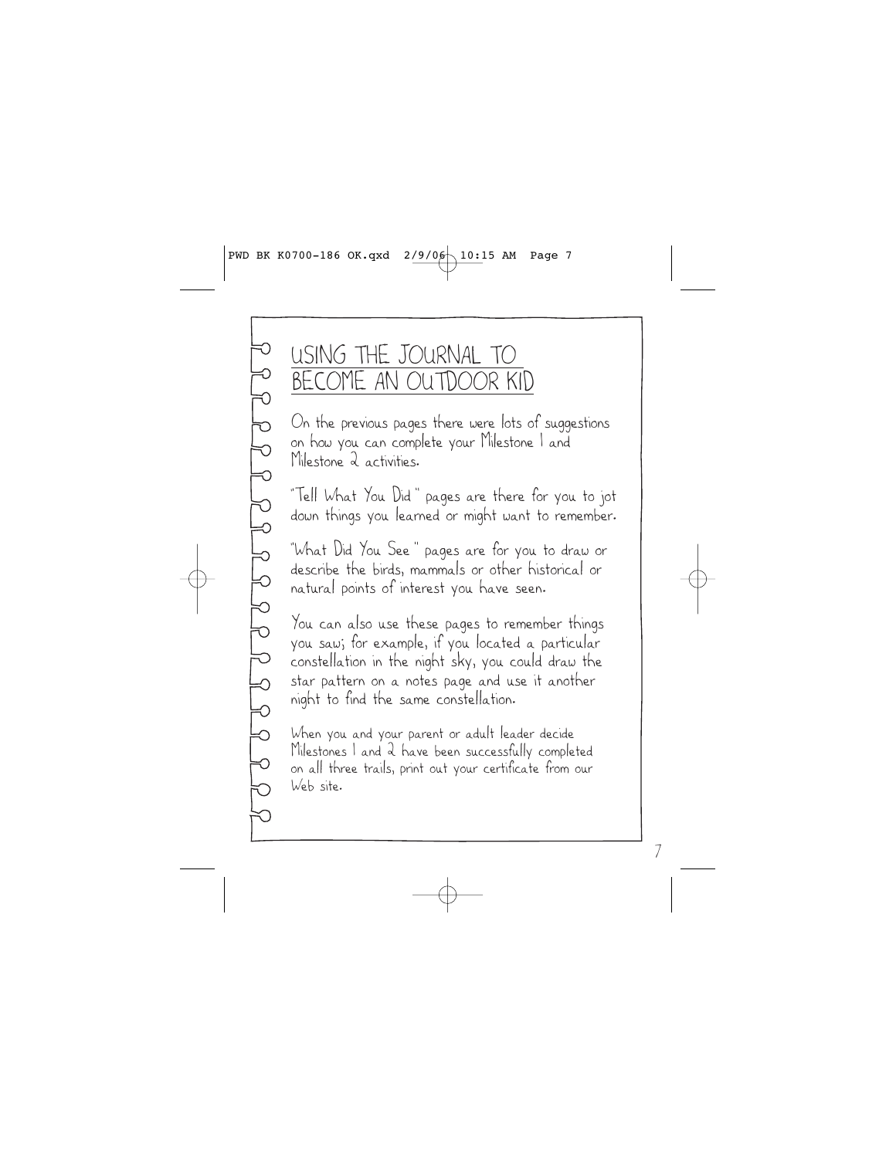### USING THE JOURNAL TO BECOME AN OUTDOOR KID

On the previous pages there were lots of suggestions on how you can complete your Milestone 1 and Milestone 2 activities.

"Tell What You Did" pages are there for you to jot down things you learned or might want to remember.

"What Did You See" pages are for you to draw or describe the birds, mammals or other historical or natural points of interest you have seen.

You can also use these pages to remember things you saw; for example, if you located a particular constellation in the night sky, you could draw the star pattern on a notes page and use it another night to find the same constellation.

When you and your parent or adult leader decide Milestones 1 and 2 have been successfully completed on all three trails, print out your certificate from our Web site.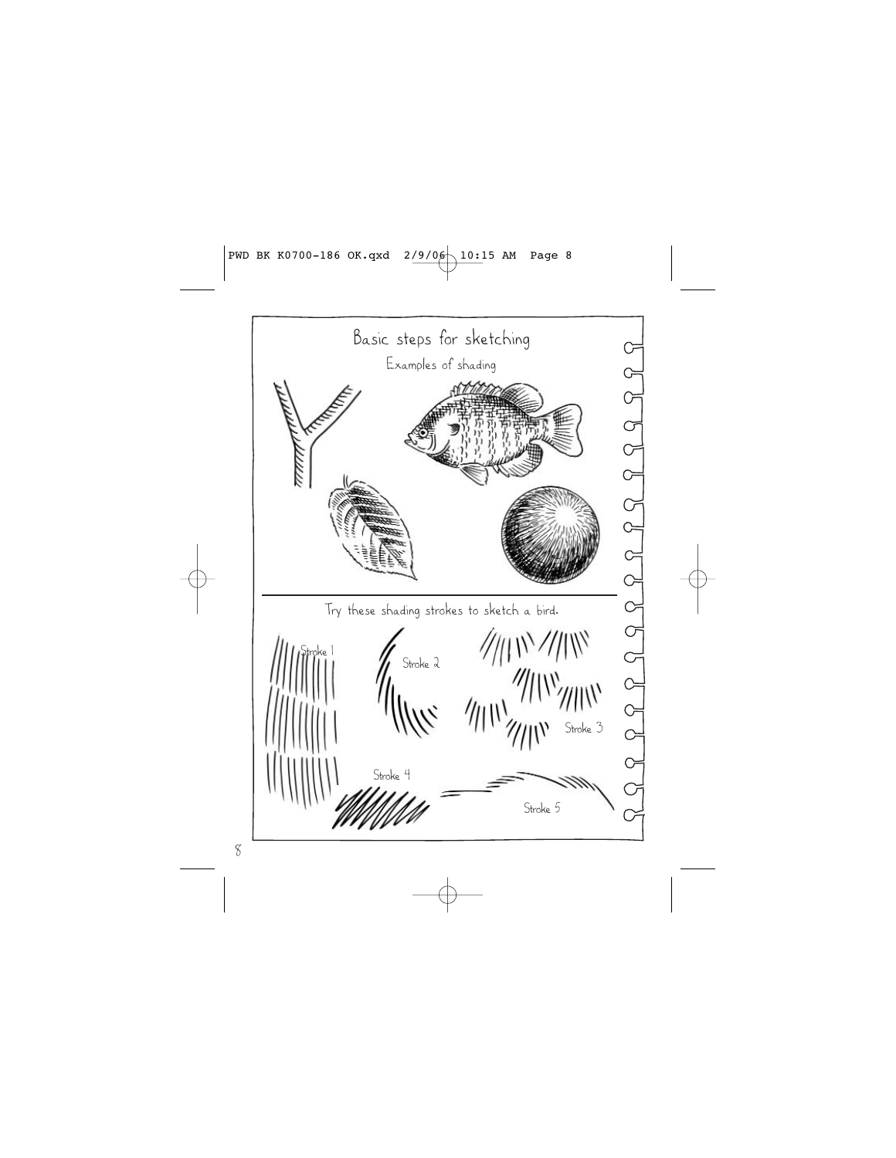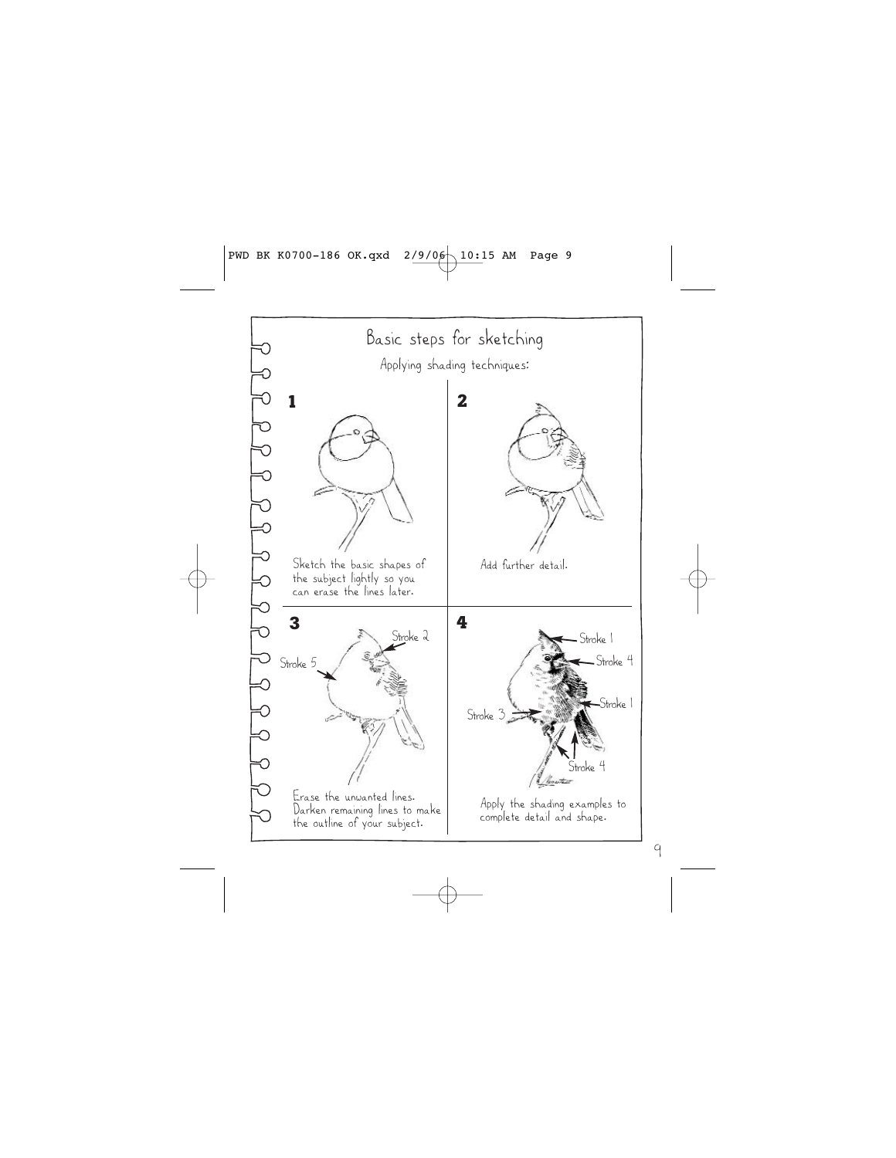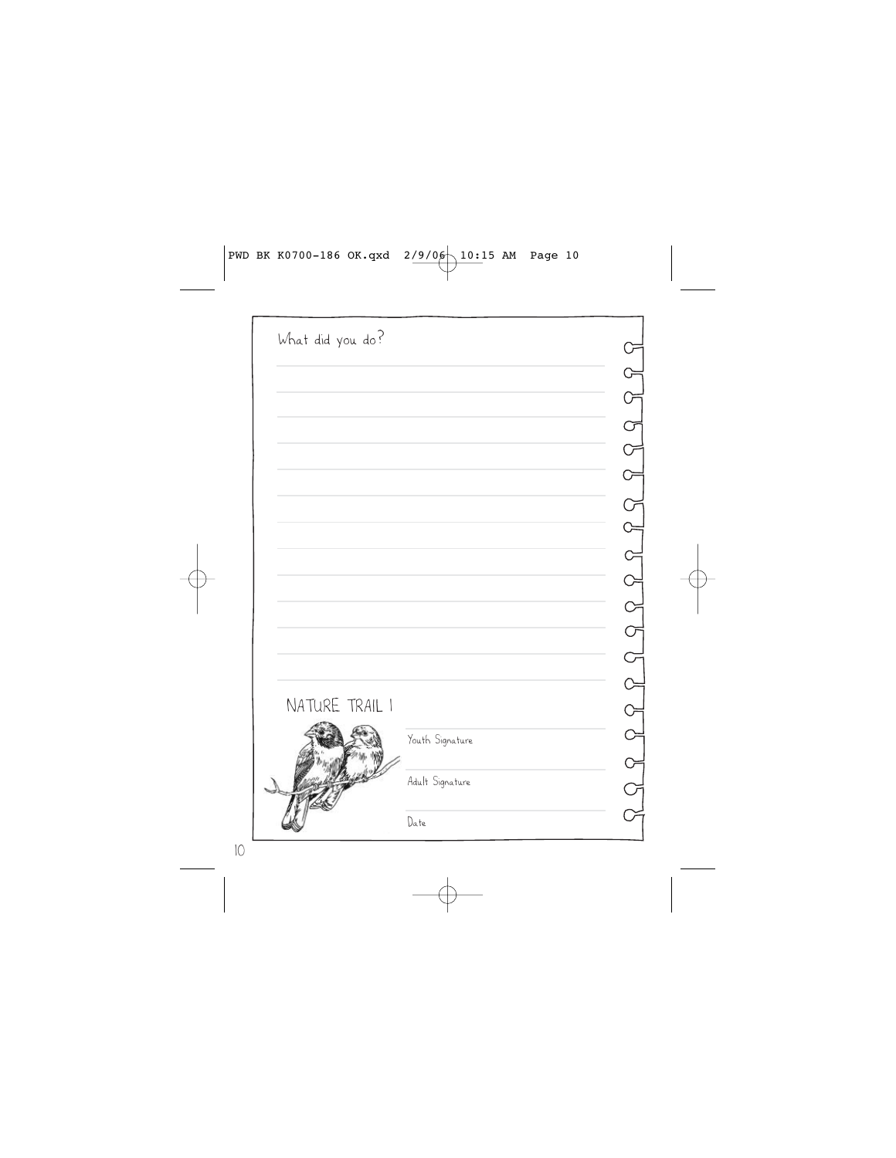| What did you do? |                 |  |
|------------------|-----------------|--|
|                  |                 |  |
|                  |                 |  |
|                  |                 |  |
|                  |                 |  |
|                  |                 |  |
|                  |                 |  |
|                  |                 |  |
|                  |                 |  |
|                  |                 |  |
|                  |                 |  |
|                  |                 |  |
|                  |                 |  |
|                  |                 |  |
| NATURE TRAIL I   |                 |  |
|                  | Youth Signature |  |
|                  |                 |  |
|                  | Adult Signature |  |
|                  | Date            |  |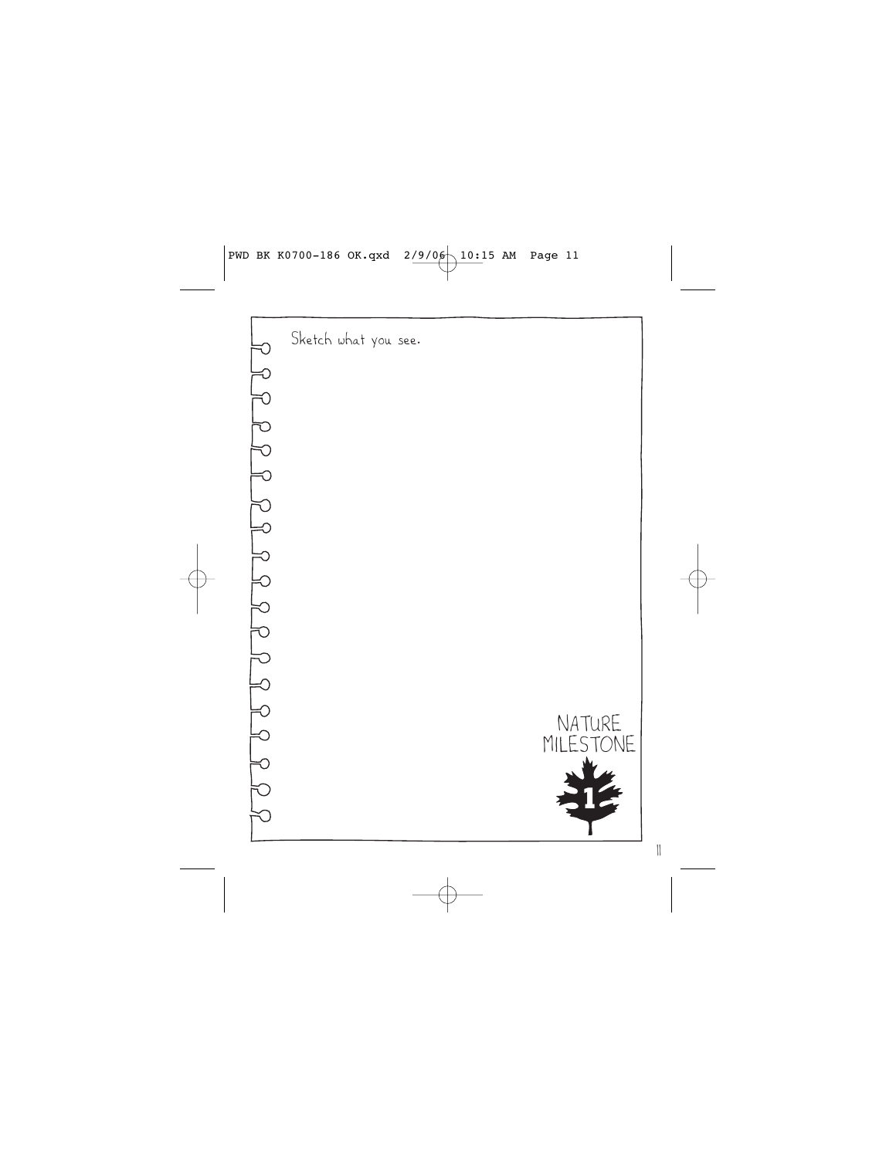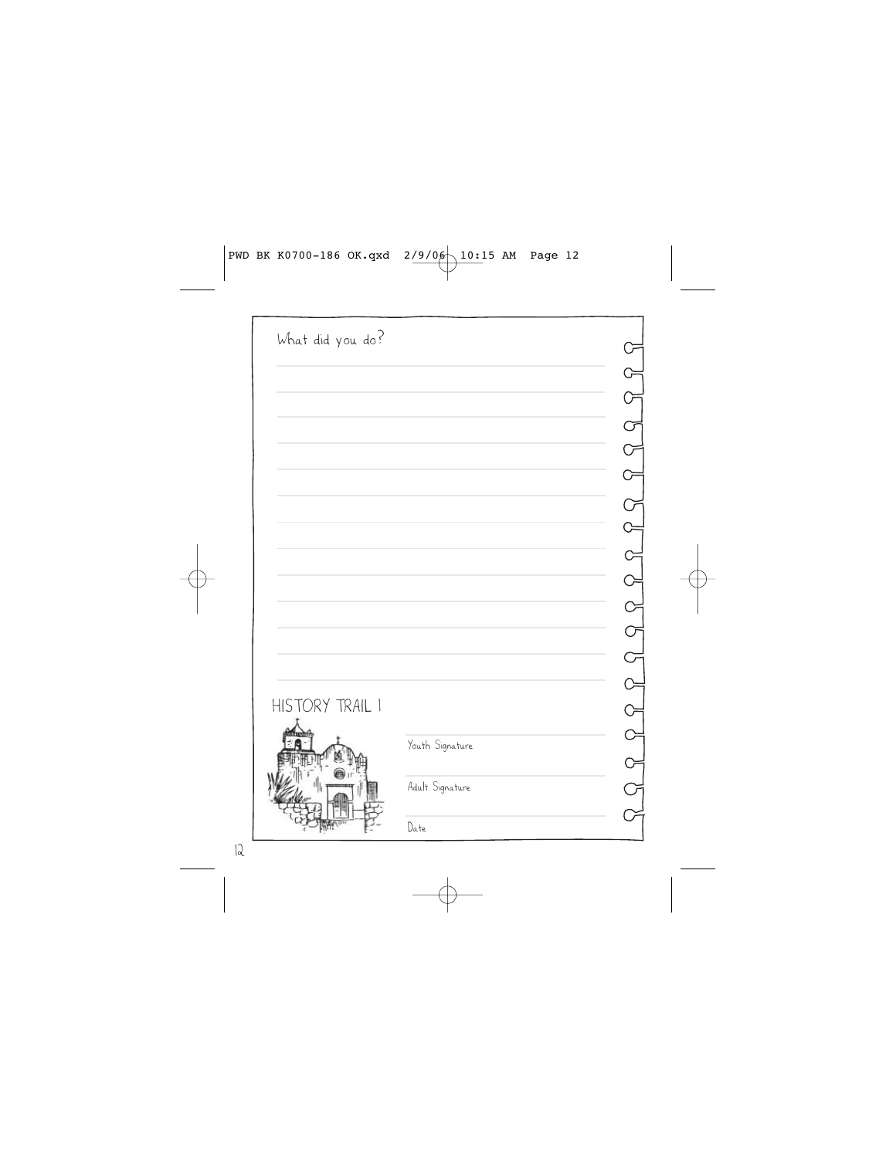| What did you do? |                 |                                                                               |
|------------------|-----------------|-------------------------------------------------------------------------------|
|                  |                 |                                                                               |
|                  |                 | $R_1 \cap R_2 \cap R_3 \cap R_4 \cap R_5 \cap R_6 \cap R_7 \cap R_8 \cap R_9$ |
|                  |                 |                                                                               |
|                  |                 |                                                                               |
|                  |                 |                                                                               |
|                  |                 |                                                                               |
|                  |                 |                                                                               |
|                  |                 |                                                                               |
|                  |                 |                                                                               |
|                  |                 |                                                                               |
|                  |                 |                                                                               |
|                  |                 |                                                                               |
|                  |                 |                                                                               |
| HISTORY TRAIL I  |                 |                                                                               |
|                  | Youth Signature |                                                                               |
|                  |                 |                                                                               |
|                  | Adult Signature |                                                                               |
|                  | Date            |                                                                               |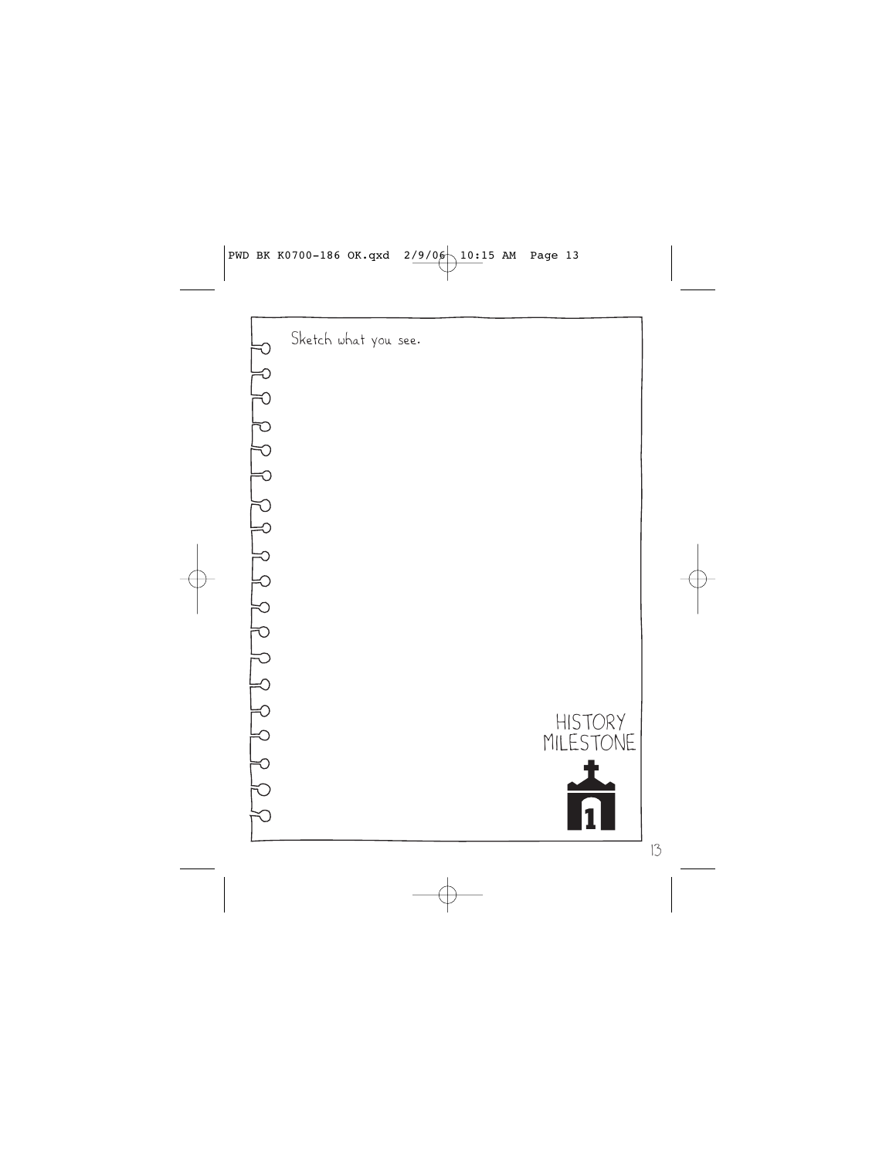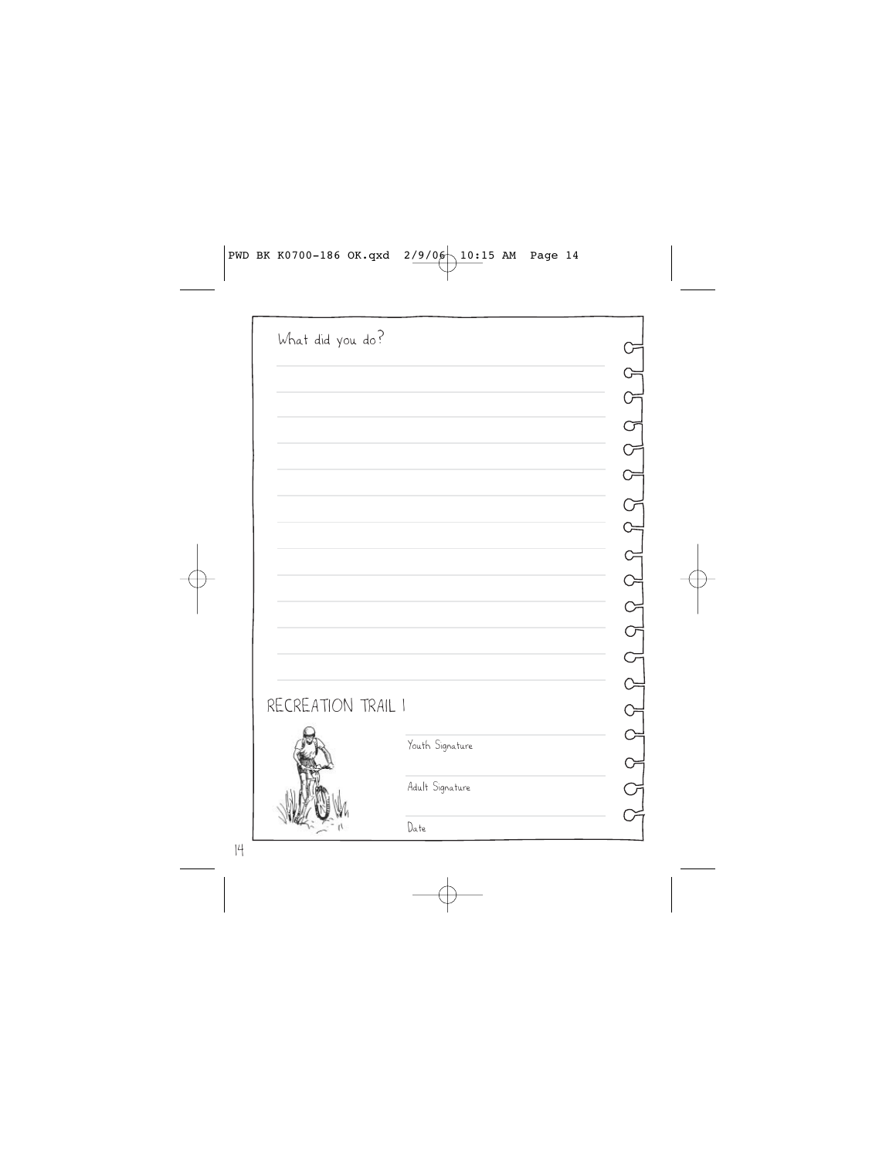| What did you do?   |                 |  |
|--------------------|-----------------|--|
|                    |                 |  |
|                    |                 |  |
|                    |                 |  |
|                    |                 |  |
|                    |                 |  |
|                    |                 |  |
|                    |                 |  |
|                    |                 |  |
|                    |                 |  |
|                    |                 |  |
|                    |                 |  |
|                    |                 |  |
|                    |                 |  |
| RECREATION TRAIL I |                 |  |
|                    | Youth Signature |  |
|                    |                 |  |
|                    | Adult Signature |  |
|                    | Date            |  |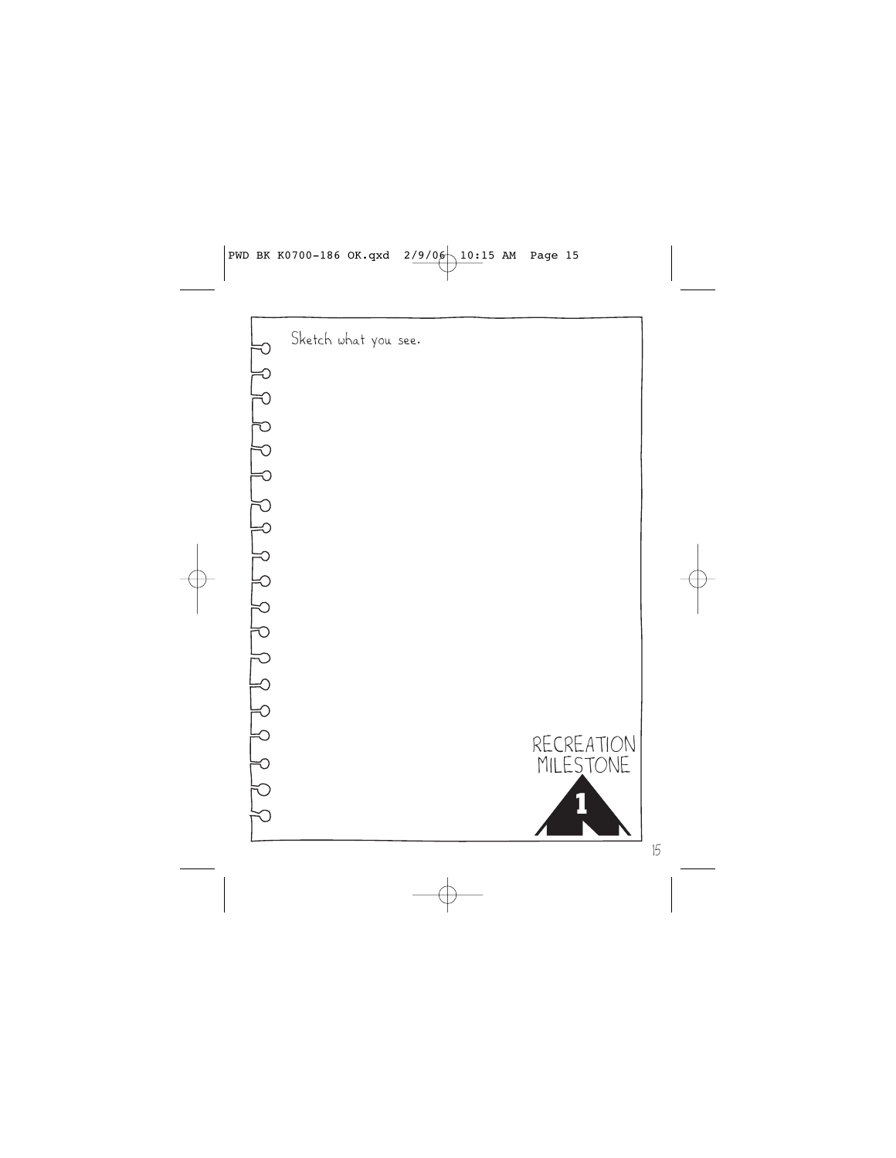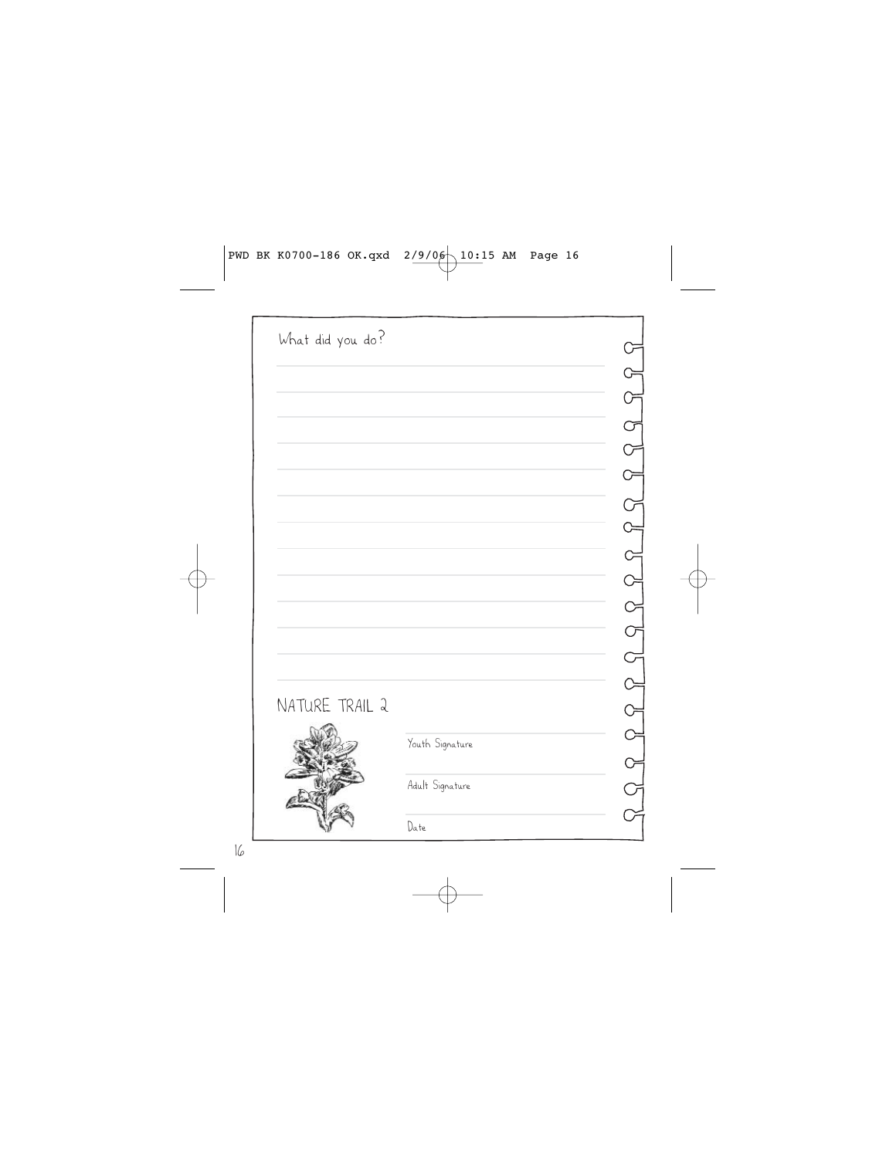| What did you do? |                 |  |
|------------------|-----------------|--|
|                  |                 |  |
|                  |                 |  |
|                  |                 |  |
|                  |                 |  |
|                  |                 |  |
|                  |                 |  |
|                  |                 |  |
|                  |                 |  |
|                  |                 |  |
|                  |                 |  |
|                  |                 |  |
|                  |                 |  |
|                  |                 |  |
| NATURE TRAIL 2   |                 |  |
|                  | Youth Signature |  |
|                  |                 |  |
|                  | Adult Signature |  |
|                  | Date            |  |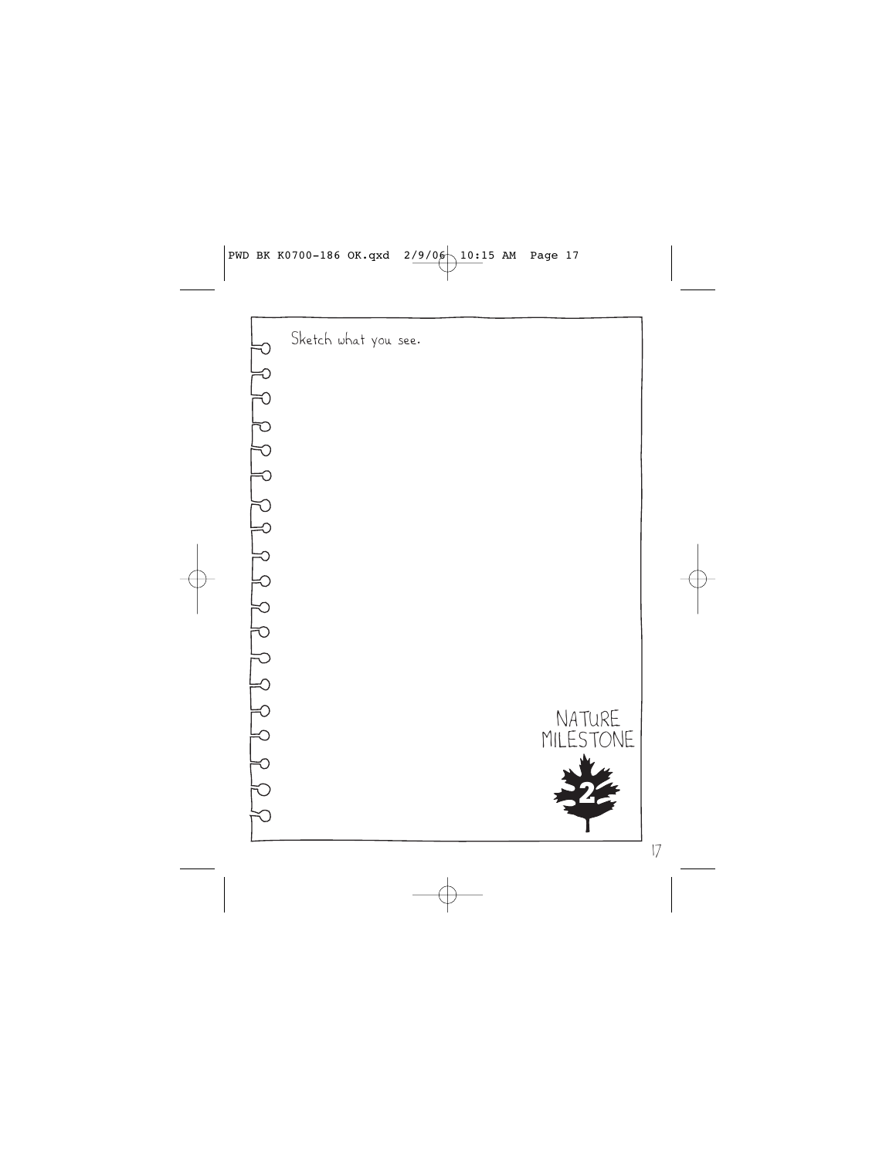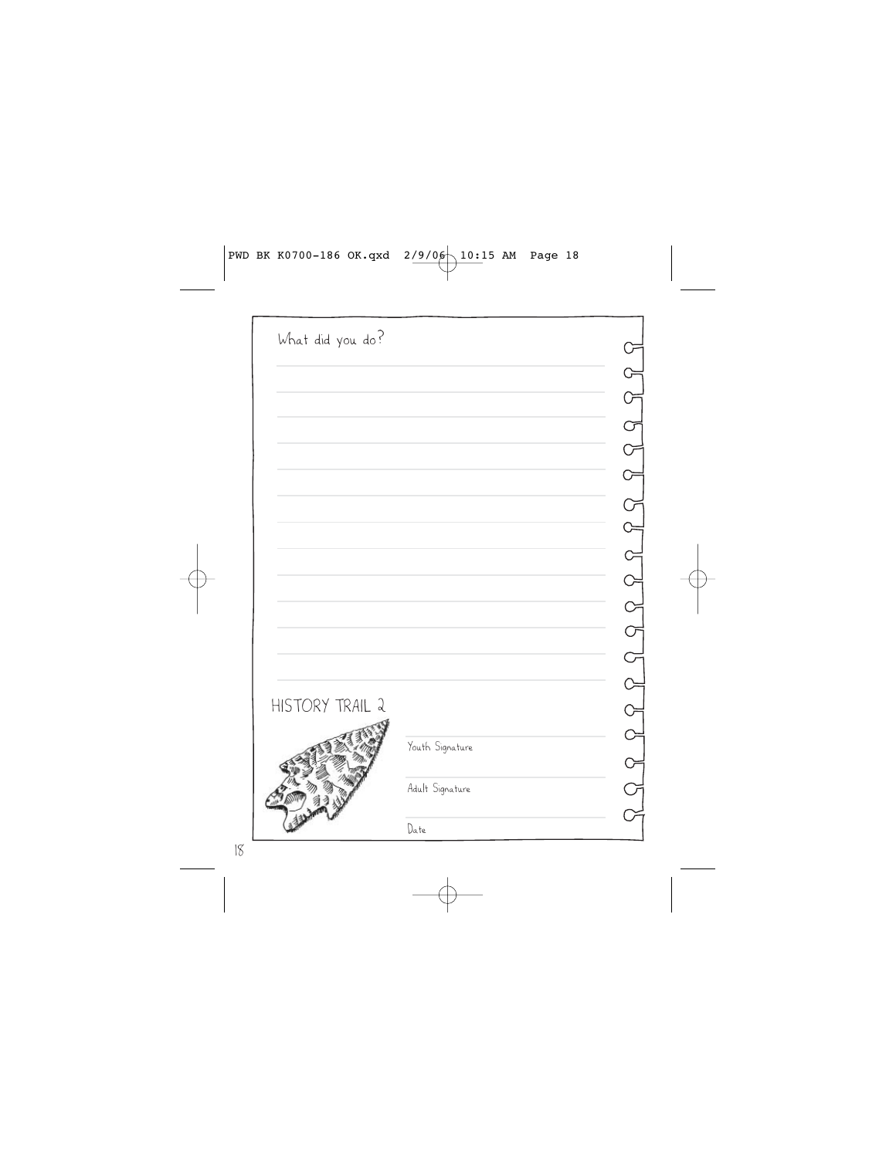| What did you do? |                 |  |
|------------------|-----------------|--|
|                  |                 |  |
|                  |                 |  |
|                  |                 |  |
|                  |                 |  |
|                  |                 |  |
|                  |                 |  |
|                  |                 |  |
|                  |                 |  |
|                  |                 |  |
|                  |                 |  |
|                  |                 |  |
|                  |                 |  |
|                  |                 |  |
| HISTORY TRAIL 2  |                 |  |
|                  | Youth Signature |  |
|                  |                 |  |
|                  | Adult Signature |  |
|                  |                 |  |
|                  | Date            |  |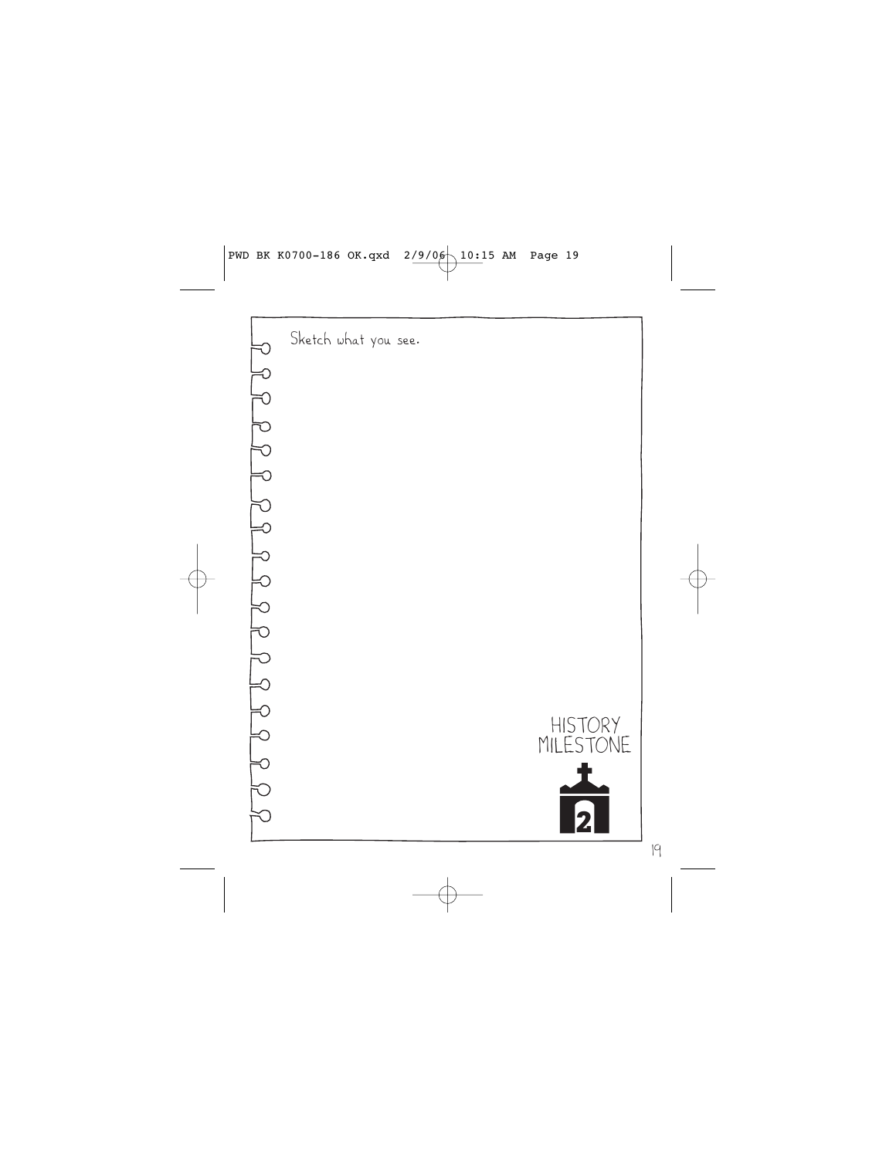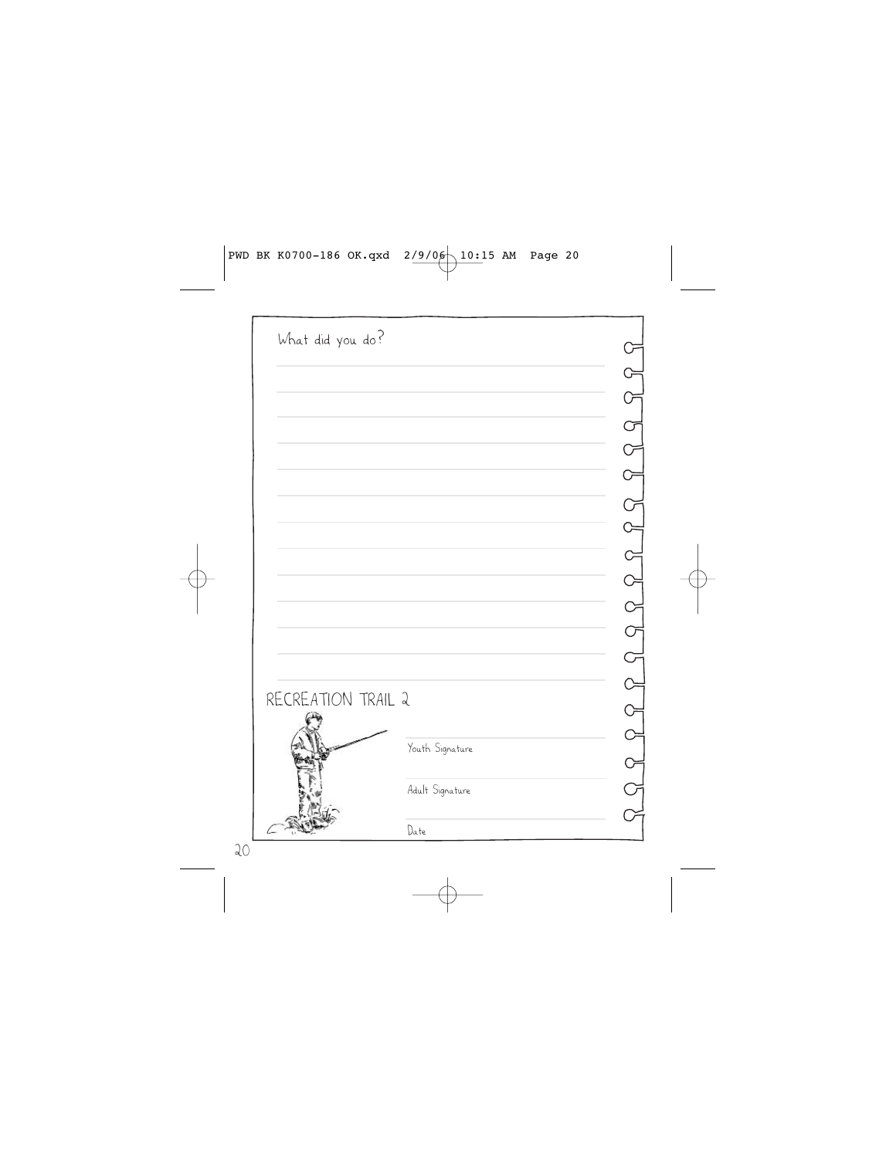| What did you do?   |                 |  |
|--------------------|-----------------|--|
|                    |                 |  |
|                    |                 |  |
|                    |                 |  |
|                    |                 |  |
|                    |                 |  |
|                    |                 |  |
|                    |                 |  |
|                    |                 |  |
|                    |                 |  |
|                    |                 |  |
|                    |                 |  |
|                    |                 |  |
| RECREATION TRAIL 2 |                 |  |
|                    |                 |  |
|                    | Youth Signature |  |
|                    |                 |  |
|                    | Adult Signature |  |
|                    | Date            |  |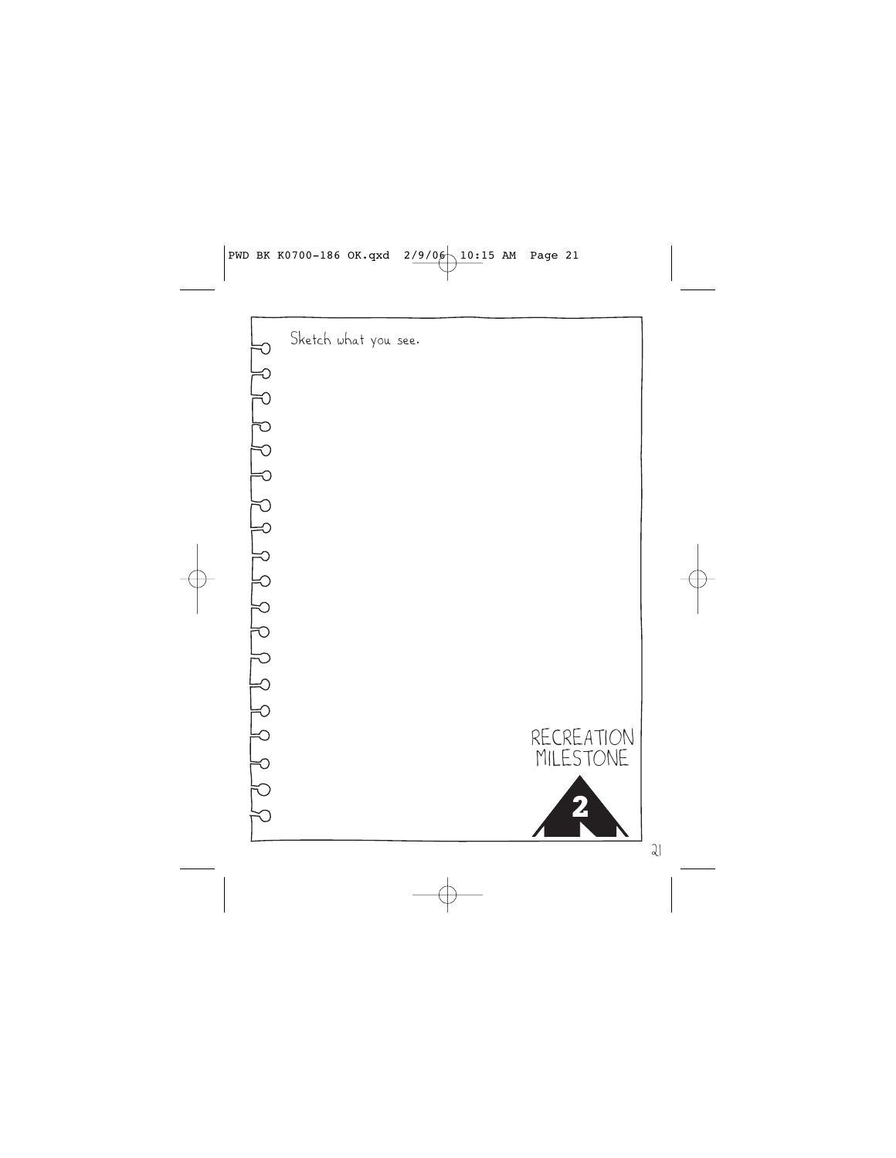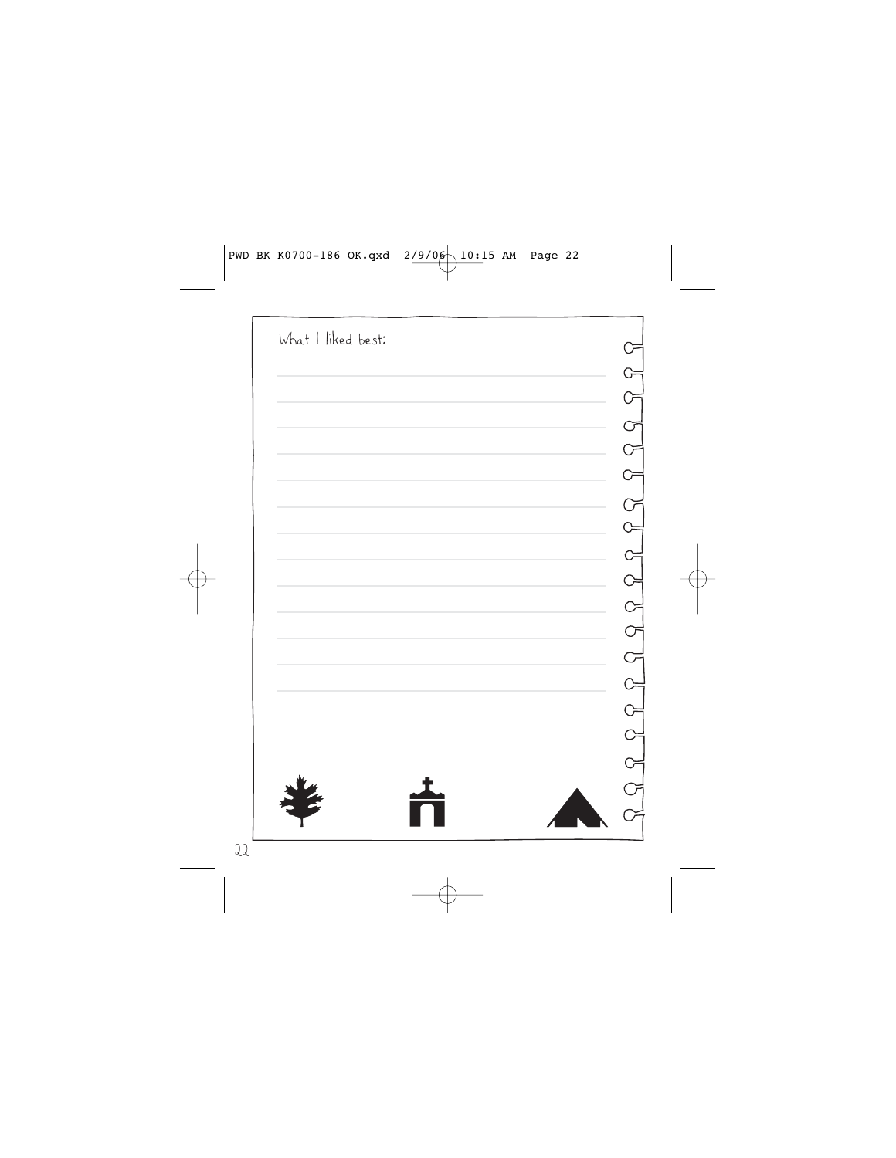| What I liked best: |                           |
|--------------------|---------------------------|
|                    |                           |
|                    |                           |
|                    |                           |
|                    |                           |
|                    |                           |
|                    |                           |
|                    |                           |
|                    |                           |
|                    |                           |
|                    |                           |
|                    |                           |
|                    |                           |
|                    | $\widetilde{\phantom{a}}$ |
|                    |                           |
|                    |                           |
|                    |                           |
|                    |                           |
|                    |                           |
|                    |                           |
|                    |                           |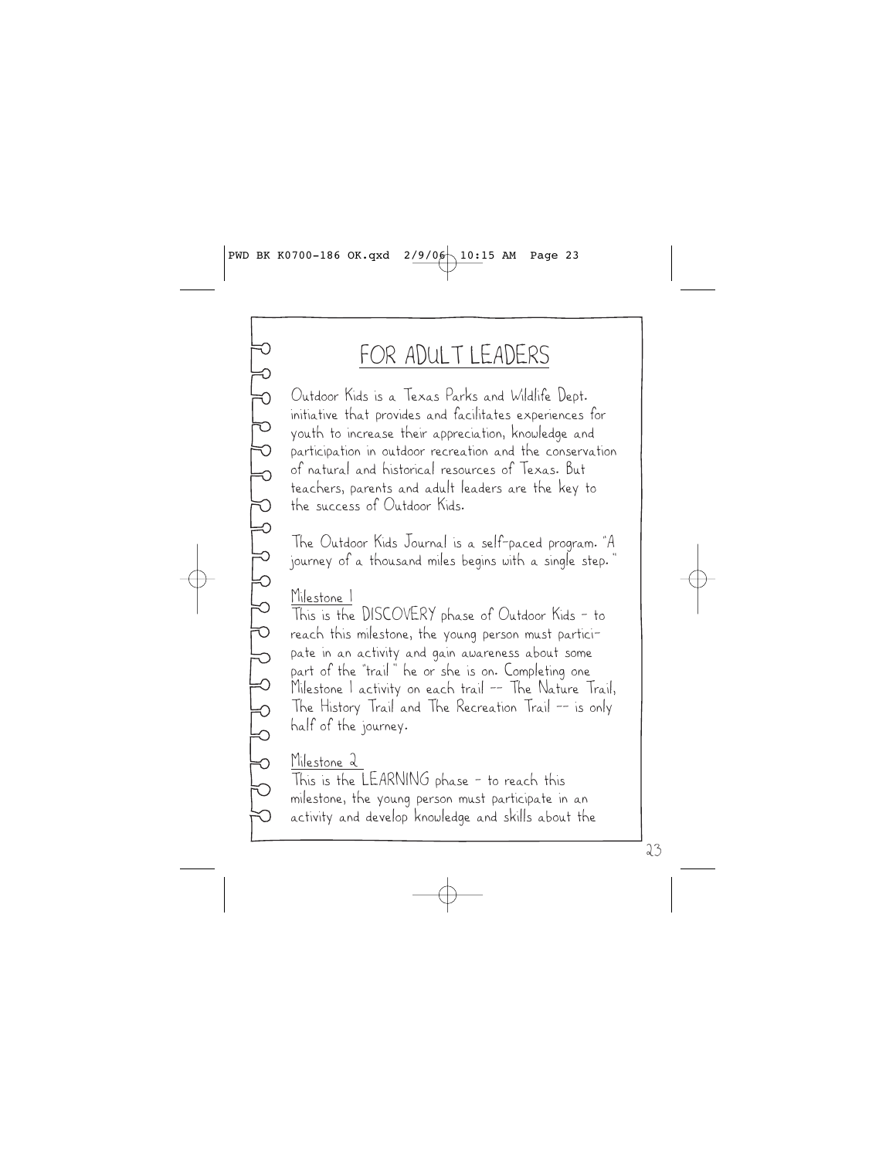## FOR ADULT LEADERS

Outdoor Kids is a Texas Parks and Wildlife Dept. initiative that provides and facilitates experiences for youth to increase their appreciation, knowledge and participation in outdoor recreation and the conservation of natural and historical resources of Texas. But teachers, parents and adult leaders are the key to the success of Outdoor Kids.

The Outdoor Kids Journal is a self-paced program. "A journey of a thousand miles begins with a single step."

Milestone 1

This is the DISCOVERY phase of Outdoor Kids – to reach this milestone, the young person must participate in an activity and gain awareness about some part of the "trail" he or she is on. Completing one Milestone 1 activity on each trail –– The Nature Trail, The History Trail and The Recreation Trail –– is only half of the journey.

### Milestone 2

This is the LEARNING phase – to reach this milestone, the young person must participate in an activity and develop knowledge and skills about the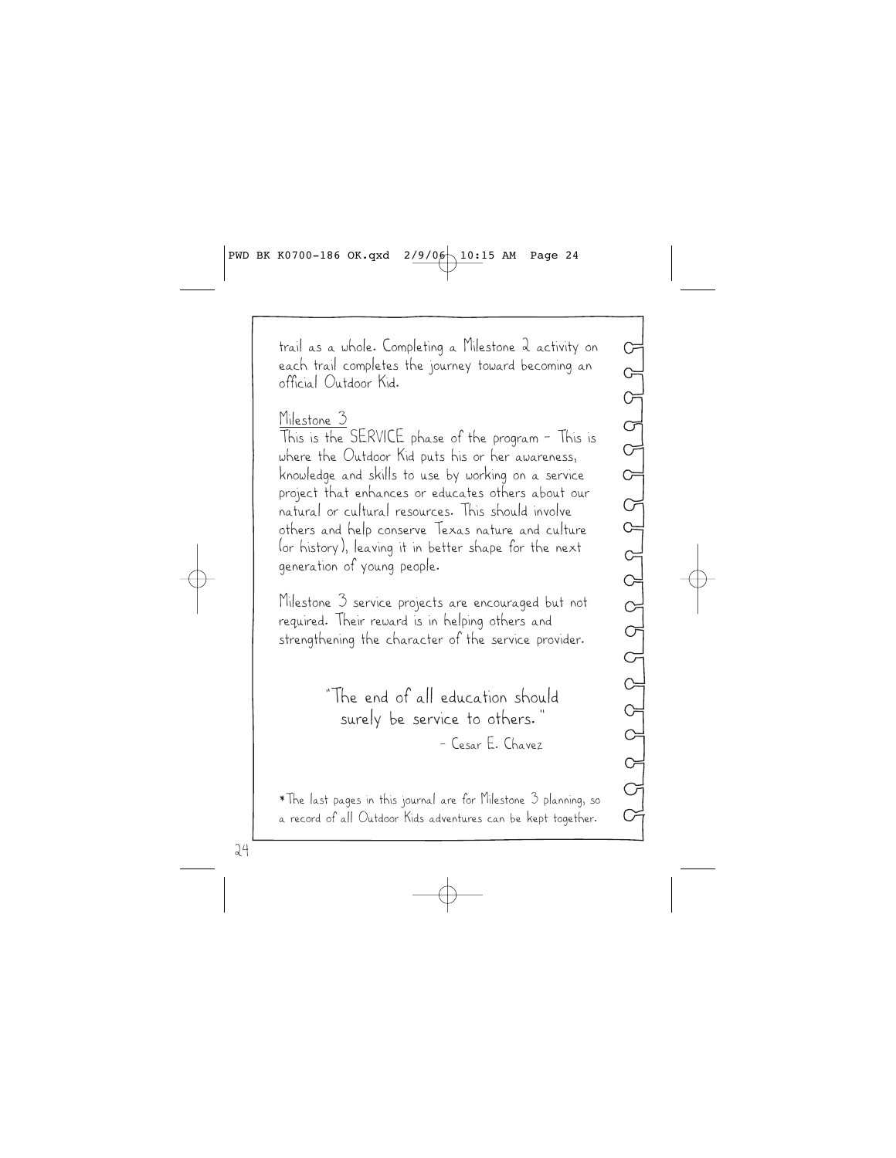trail as a whole. Completing a Milestone 2 activity on each trail completes the journey toward becoming an official Outdoor Kid.

#### Milestone 3

This is the SERVICE phase of the program – This is where the Outdoor Kid puts his or her awareness, knowledge and skills to use by working on a service project that enhances or educates others about our natural or cultural resources. This should involve others and help conserve Texas nature and culture (or history), leaving it in better shape for the next generation of young people.

Milestone 3 service projects are encouraged but not required. Their reward is in helping others and strengthening the character of the service provider.

> "The end of all education should surely be service to others." – Cesar E. Chavez

\*The last pages in this journal are for Milestone 3 planning, so a record of all Outdoor Kids adventures can be kept together.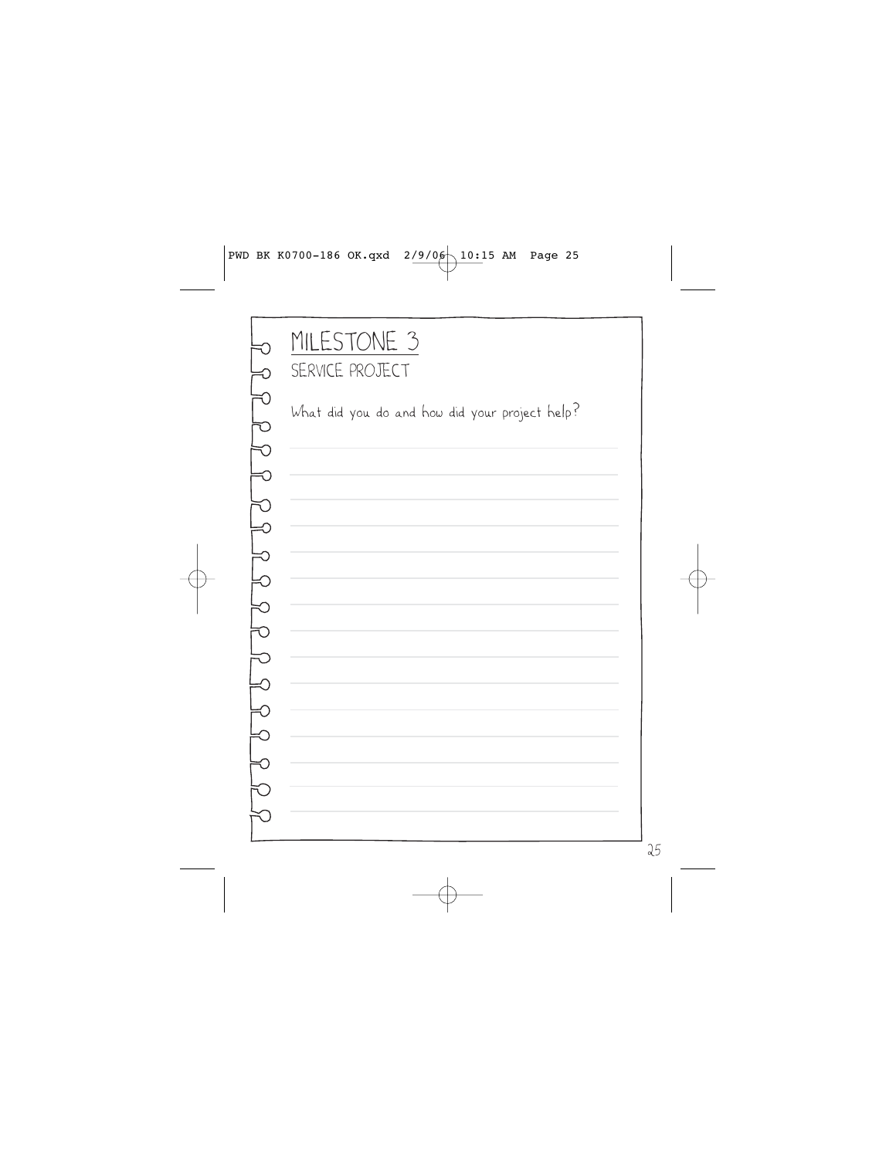# MILESTONE 3 SERVICE PROJECT

What did you do and how did your project help?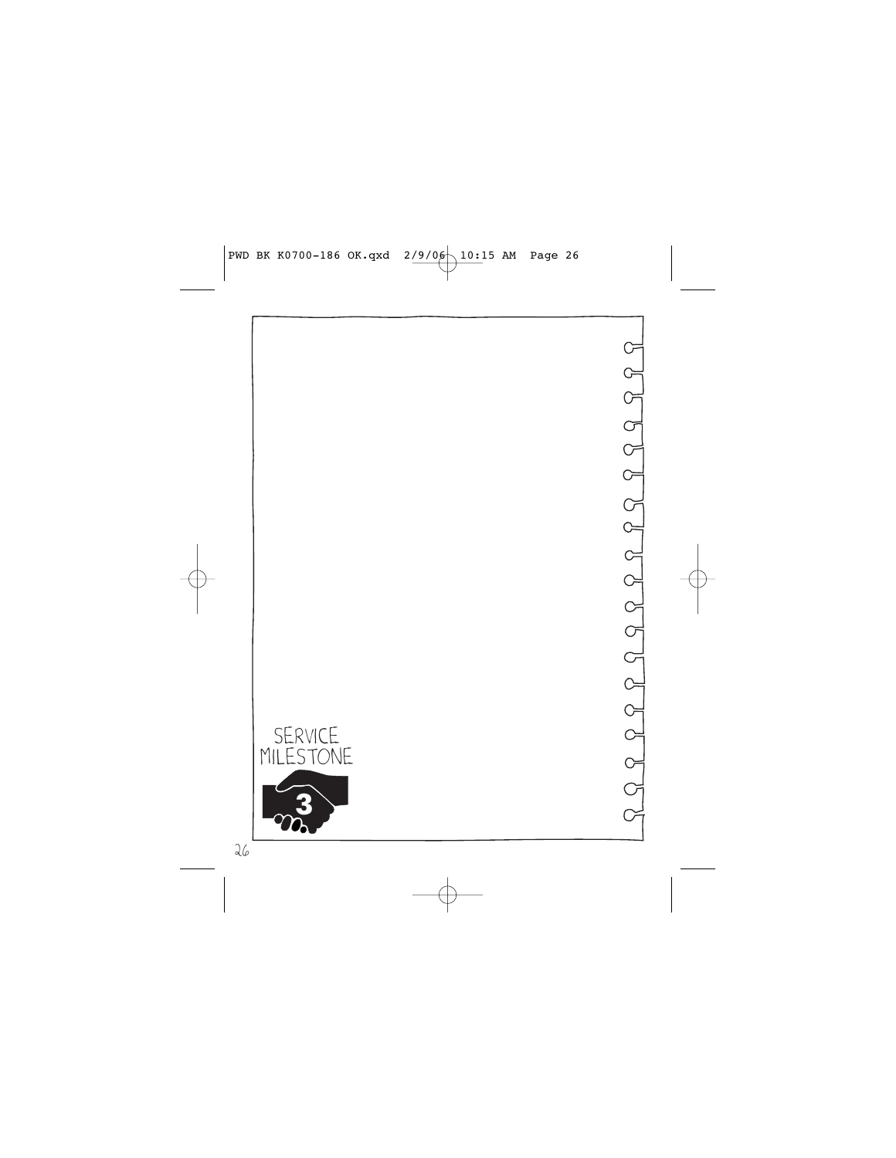

 $\begin{array}{l}\mathcal{S}\end{array}\quad \mathcal{S}\end{array} \begin{array}{l}\mathcal{S}\end{array}\quad \begin{array}{l}\mathcal{S}\end{array}\quad \begin{array}{l}\mathcal{S}\end{array}\quad \begin{array}{l}\mathcal{S}\end{array}\quad \begin{array}{l}\mathcal{S}\end{array}\quad \begin{array}{l}\mathcal{S}\end{array}\quad \begin{array}{l}\mathcal{S}\end{array}\quad \begin{array}{l}\mathcal{S}\end{array}\quad \begin{array}{l}\mathcal{S}\end{array}\quad \begin{array}{l}\mathcal{S}\end{array}\quad \begin{array}{l}\mathcal{S}\end{array}\quad \begin{array}{l$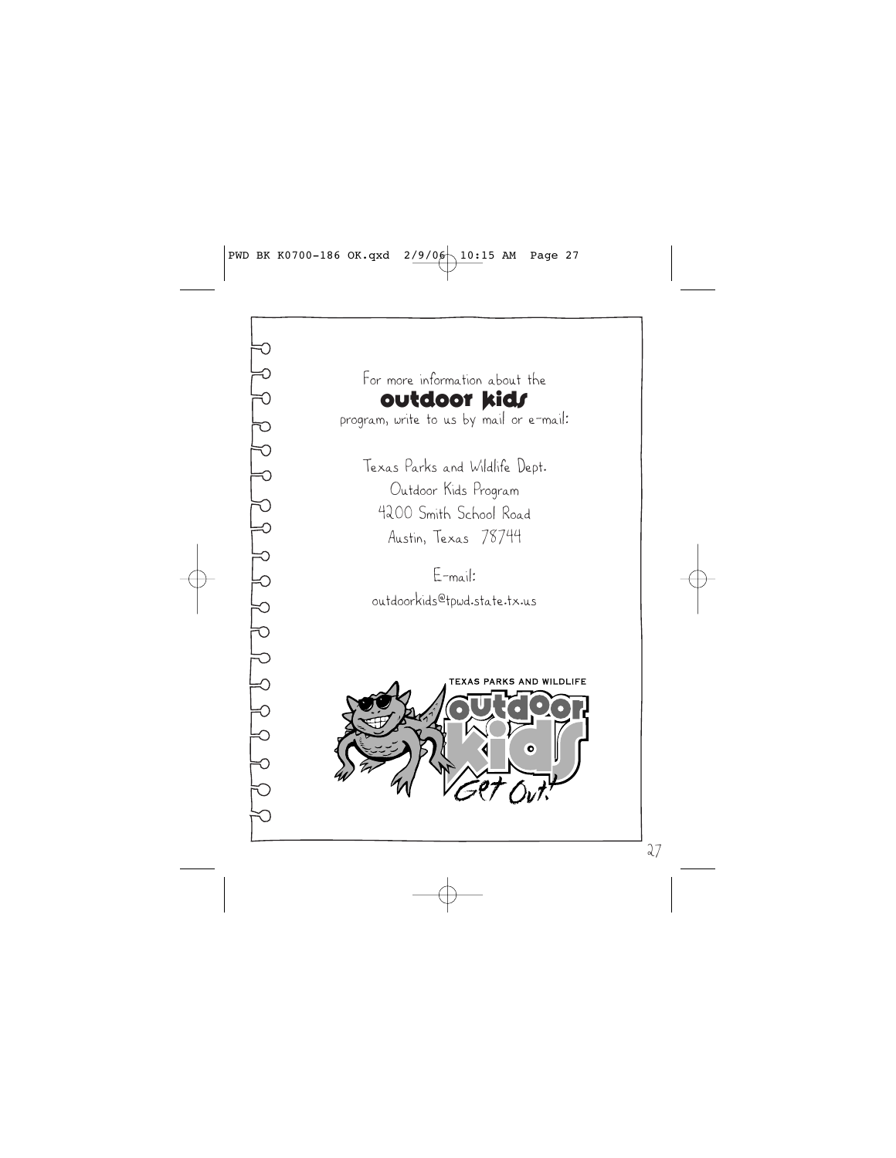For more information about the **Outdoor kids** 

program, write to us by mail or e-mail:

Texas Parks and Wildlife Dept. Outdoor Kids Program 4200 Smith School Road Austin, Texas 78744

E-mail: outdoorkids@tpwd.state.tx.us